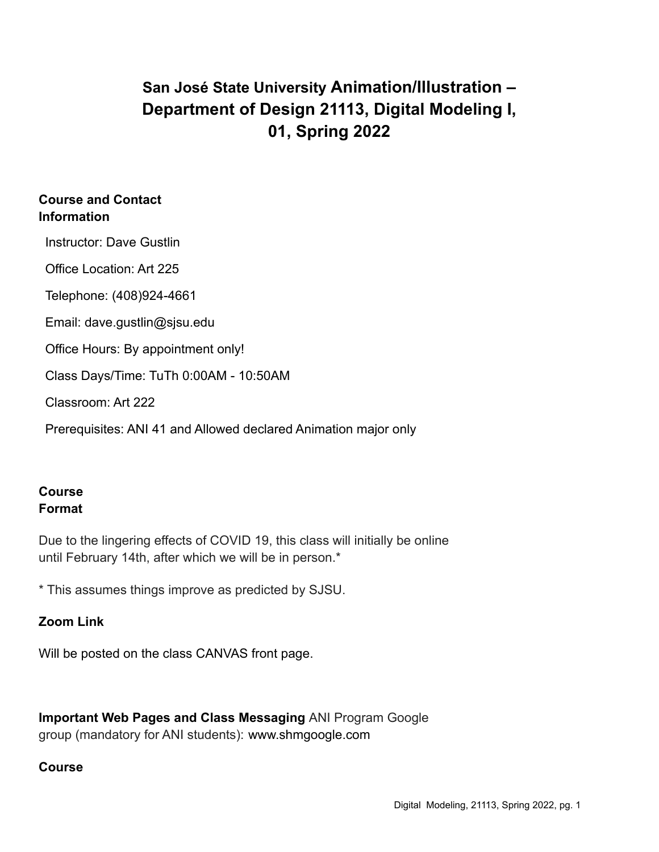# **San José State University Animation/Illustration – Department of Design 21113, Digital Modeling I, 01, Spring 2022**

### **Course and Contact Information**

Instructor: Dave Gustlin

Office Location: Art 225

Telephone: (408)924-4661

Email: dave.gustlin@sjsu.edu

Office Hours: By appointment only!

Class Days/Time: TuTh 0:00AM - 10:50AM

Classroom: Art 222

Prerequisites: ANI 41 and Allowed declared Animation major only

## **Course Format**

Due to the lingering effects of COVID 19, this class will initially be online until February 14th, after which we will be in person.\*

\* This assumes things improve as predicted by SJSU.

## **Zoom Link**

Will be posted on the class CANVAS front page.

**Important Web Pages and Class Messaging** ANI Program Google group (mandatory for ANI students): www.shmgoogle.com

#### **Course**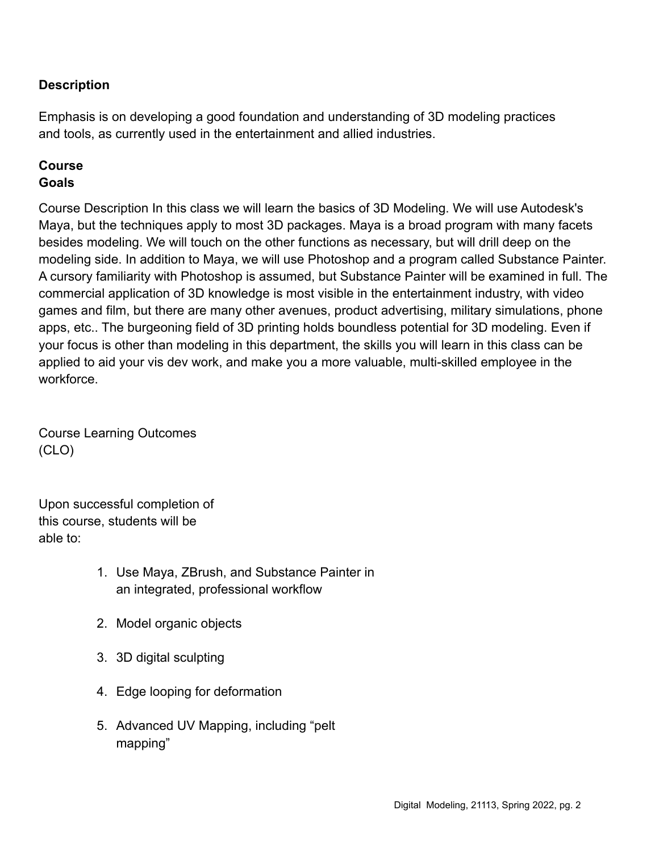## **Description**

Emphasis is on developing a good foundation and understanding of 3D modeling practices and tools, as currently used in the entertainment and allied industries.

#### **Course Goals**

Course Description In this class we will learn the basics of 3D Modeling. We will use Autodesk's Maya, but the techniques apply to most 3D packages. Maya is a broad program with many facets besides modeling. We will touch on the other functions as necessary, but will drill deep on the modeling side. In addition to Maya, we will use Photoshop and a program called Substance Painter. A cursory familiarity with Photoshop is assumed, but Substance Painter will be examined in full. The commercial application of 3D knowledge is most visible in the entertainment industry, with video games and film, but there are many other avenues, product advertising, military simulations, phone apps, etc.. The burgeoning field of 3D printing holds boundless potential for 3D modeling. Even if your focus is other than modeling in this department, the skills you will learn in this class can be applied to aid your vis dev work, and make you a more valuable, multi-skilled employee in the workforce.

Course Learning Outcomes (CLO)

Upon successful completion of this course, students will be able to:

- 1. Use Maya, ZBrush, and Substance Painter in an integrated, professional workflow
- 2. Model organic objects
- 3. 3D digital sculpting
- 4. Edge looping for deformation
- 5. Advanced UV Mapping, including "pelt mapping"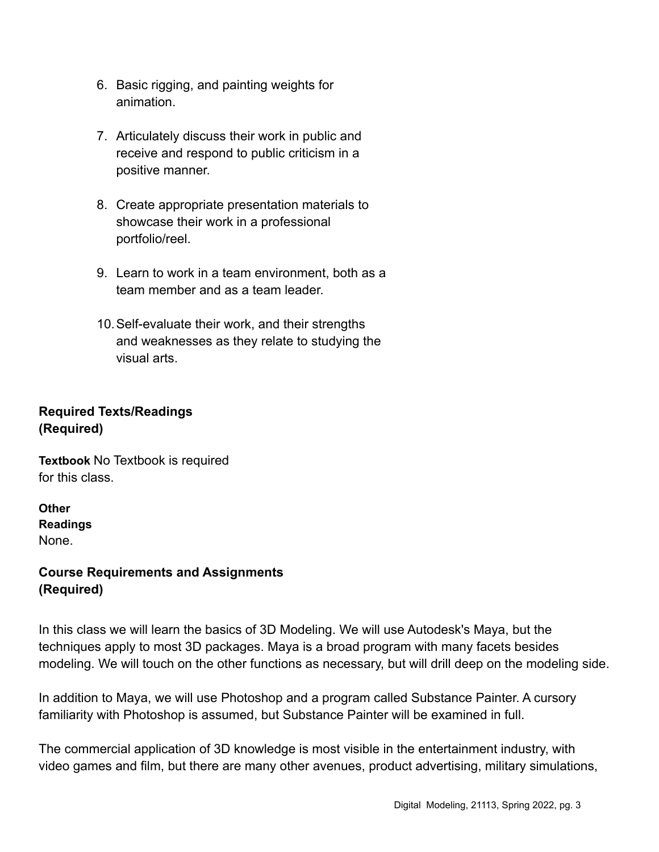- 6. Basic rigging, and painting weights for animation.
- 7. Articulately discuss their work in public and receive and respond to public criticism in a positive manner.
- 8. Create appropriate presentation materials to showcase their work in a professional portfolio/reel.
- 9. Learn to work in a team environment, both as a team member and as a team leader.
- 10.Self-evaluate their work, and their strengths and weaknesses as they relate to studying the visual arts.

# **Required Texts/Readings (Required)**

**Textbook** No Textbook is required for this class.

**Other Readings** None.

## **Course Requirements and Assignments (Required)**

In this class we will learn the basics of 3D Modeling. We will use Autodesk's Maya, but the techniques apply to most 3D packages. Maya is a broad program with many facets besides modeling. We will touch on the other functions as necessary, but will drill deep on the modeling side.

In addition to Maya, we will use Photoshop and a program called Substance Painter. A cursory familiarity with Photoshop is assumed, but Substance Painter will be examined in full.

The commercial application of 3D knowledge is most visible in the entertainment industry, with video games and film, but there are many other avenues, product advertising, military simulations,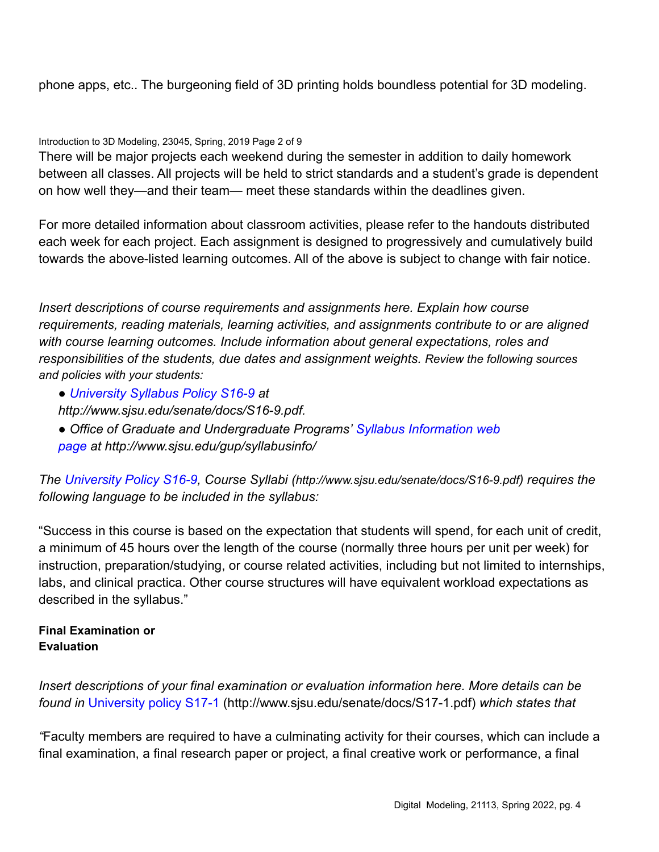phone apps, etc.. The burgeoning field of 3D printing holds boundless potential for 3D modeling.

Introduction to 3D Modeling, 23045, Spring, 2019 Page 2 of 9

There will be major projects each weekend during the semester in addition to daily homework between all classes. All projects will be held to strict standards and a student's grade is dependent on how well they—and their team— meet these standards within the deadlines given.

For more detailed information about classroom activities, please refer to the handouts distributed each week for each project. Each assignment is designed to progressively and cumulatively build towards the above-listed learning outcomes. All of the above is subject to change with fair notice.

*Insert descriptions of course requirements and assignments here. Explain how course requirements, reading materials, learning activities, and assignments contribute to or are aligned with course learning outcomes. Include information about general expectations, roles and responsibilities of the students, due dates and assignment weights. Review the following sources and policies with your students:*

- *University Syllabus Policy S16-9 at*
- *http://www.sjsu.edu/senate/docs/S16-9.pdf.*
- *Office of Graduate and Undergraduate Programs' Syllabus Information web page at http://www.sjsu.edu/gup/syllabusinfo/*

*The University Policy S16-9, Course Syllabi (http://www.sjsu.edu/senate/docs/S16-9.pdf) requires the following language to be included in the syllabus:*

"Success in this course is based on the expectation that students will spend, for each unit of credit, a minimum of 45 hours over the length of the course (normally three hours per unit per week) for instruction, preparation/studying, or course related activities, including but not limited to internships, labs, and clinical practica. Other course structures will have equivalent workload expectations as described in the syllabus."

#### **Final Examination or Evaluation**

*Insert descriptions of your final examination or evaluation information here. More details can be found in* University policy S17-1 (http://www.sjsu.edu/senate/docs/S17-1.pdf) *which states that*

*"*Faculty members are required to have a culminating activity for their courses, which can include a final examination, a final research paper or project, a final creative work or performance, a final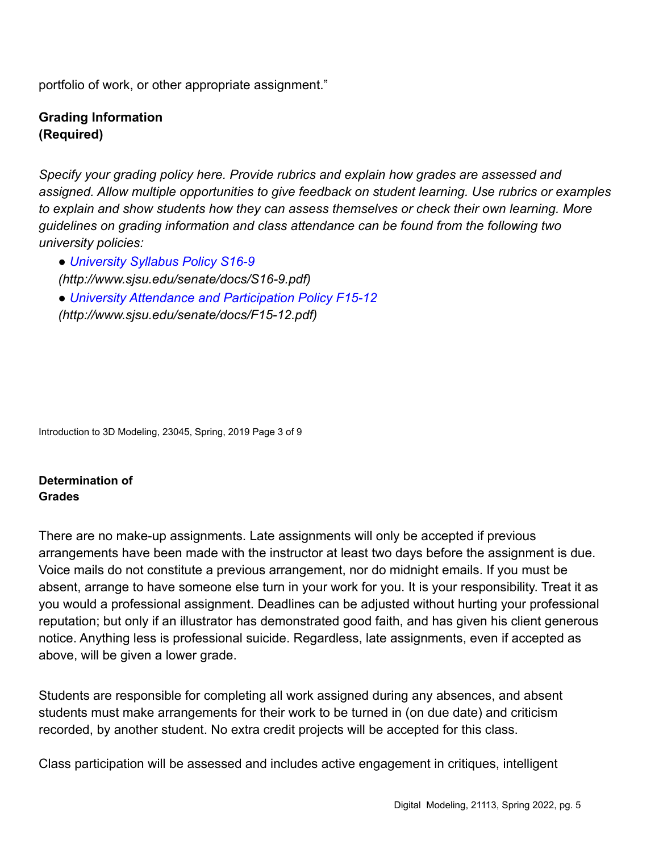portfolio of work, or other appropriate assignment."

#### **Grading Information (Required)**

*Specify your grading policy here. Provide rubrics and explain how grades are assessed and assigned. Allow multiple opportunities to give feedback on student learning. Use rubrics or examples to explain and show students how they can assess themselves or check their own learning. More guidelines on grading information and class attendance can be found from the following two university policies:*

● *University Syllabus Policy S16-9 (http://www.sjsu.edu/senate/docs/S16-9.pdf)* ● *University Attendance and Participation Policy F15-12 (http://www.sjsu.edu/senate/docs/F15-12.pdf)*

Introduction to 3D Modeling, 23045, Spring, 2019 Page 3 of 9

**Determination of Grades**

There are no make-up assignments. Late assignments will only be accepted if previous arrangements have been made with the instructor at least two days before the assignment is due. Voice mails do not constitute a previous arrangement, nor do midnight emails. If you must be absent, arrange to have someone else turn in your work for you. It is your responsibility. Treat it as you would a professional assignment. Deadlines can be adjusted without hurting your professional reputation; but only if an illustrator has demonstrated good faith, and has given his client generous notice. Anything less is professional suicide. Regardless, late assignments, even if accepted as above, will be given a lower grade.

Students are responsible for completing all work assigned during any absences, and absent students must make arrangements for their work to be turned in (on due date) and criticism recorded, by another student. No extra credit projects will be accepted for this class.

Class participation will be assessed and includes active engagement in critiques, intelligent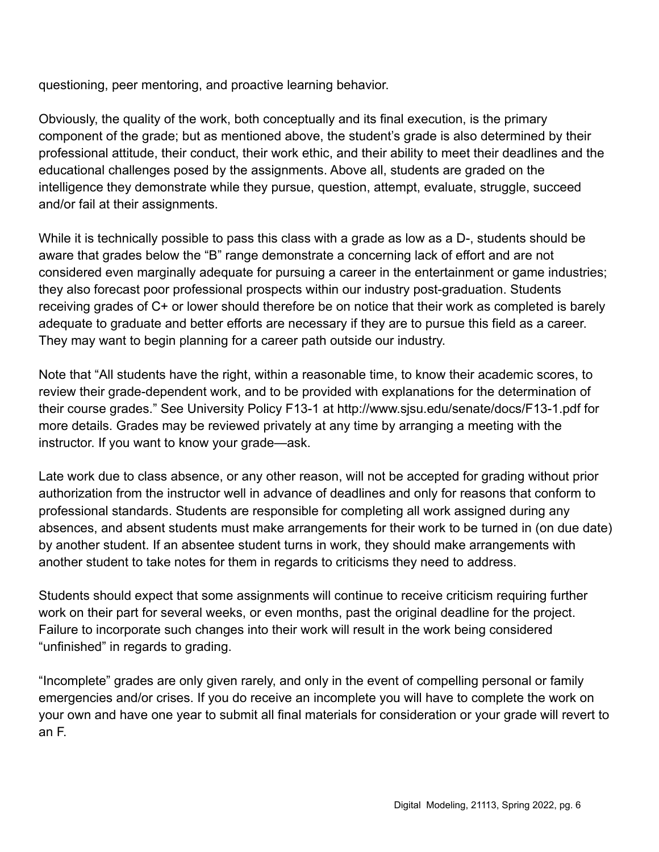questioning, peer mentoring, and proactive learning behavior.

Obviously, the quality of the work, both conceptually and its final execution, is the primary component of the grade; but as mentioned above, the student's grade is also determined by their professional attitude, their conduct, their work ethic, and their ability to meet their deadlines and the educational challenges posed by the assignments. Above all, students are graded on the intelligence they demonstrate while they pursue, question, attempt, evaluate, struggle, succeed and/or fail at their assignments.

While it is technically possible to pass this class with a grade as low as a D-, students should be aware that grades below the "B" range demonstrate a concerning lack of effort and are not considered even marginally adequate for pursuing a career in the entertainment or game industries; they also forecast poor professional prospects within our industry post-graduation. Students receiving grades of C+ or lower should therefore be on notice that their work as completed is barely adequate to graduate and better efforts are necessary if they are to pursue this field as a career. They may want to begin planning for a career path outside our industry.

Note that "All students have the right, within a reasonable time, to know their academic scores, to review their grade-dependent work, and to be provided with explanations for the determination of their course grades." See University Policy F13-1 at http://www.sjsu.edu/senate/docs/F13-1.pdf for more details. Grades may be reviewed privately at any time by arranging a meeting with the instructor. If you want to know your grade—ask.

Late work due to class absence, or any other reason, will not be accepted for grading without prior authorization from the instructor well in advance of deadlines and only for reasons that conform to professional standards. Students are responsible for completing all work assigned during any absences, and absent students must make arrangements for their work to be turned in (on due date) by another student. If an absentee student turns in work, they should make arrangements with another student to take notes for them in regards to criticisms they need to address.

Students should expect that some assignments will continue to receive criticism requiring further work on their part for several weeks, or even months, past the original deadline for the project. Failure to incorporate such changes into their work will result in the work being considered "unfinished" in regards to grading.

"Incomplete" grades are only given rarely, and only in the event of compelling personal or family emergencies and/or crises. If you do receive an incomplete you will have to complete the work on your own and have one year to submit all final materials for consideration or your grade will revert to an F.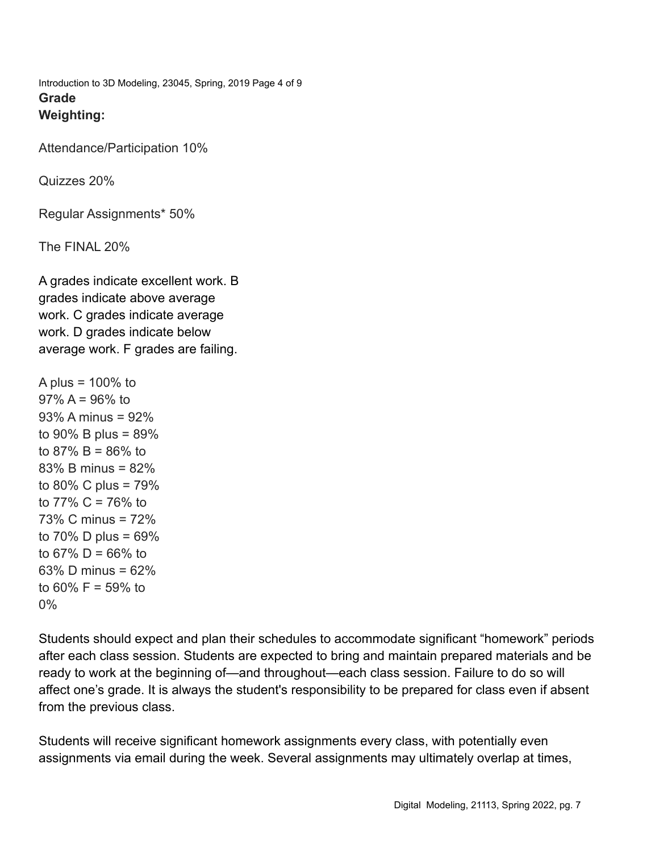Introduction to 3D Modeling, 23045, Spring, 2019 Page 4 of 9 **Grade Weighting:**

Attendance/Participation 10%

Quizzes 20%

Regular Assignments\* 50%

The FINAL 20%

A grades indicate excellent work. B grades indicate above average work. C grades indicate average work. D grades indicate below average work. F grades are failing.

```
A plus = 100\% to
97\% A = 96\% to
93% A minus = 92%
to 90% B plus = 89%
to 87% B = 86% to
83% B minus = 82%
to 80% C plus = 79%
to 77% C = 76% to
73% C minus = 72%
to 70% D plus = 69%to 67\% D = 66\% to
63% D minus = 62%
to 60% F = 59% to
0%
```
Students should expect and plan their schedules to accommodate significant "homework" periods after each class session. Students are expected to bring and maintain prepared materials and be ready to work at the beginning of—and throughout—each class session. Failure to do so will affect one's grade. It is always the student's responsibility to be prepared for class even if absent from the previous class.

Students will receive significant homework assignments every class, with potentially even assignments via email during the week. Several assignments may ultimately overlap at times,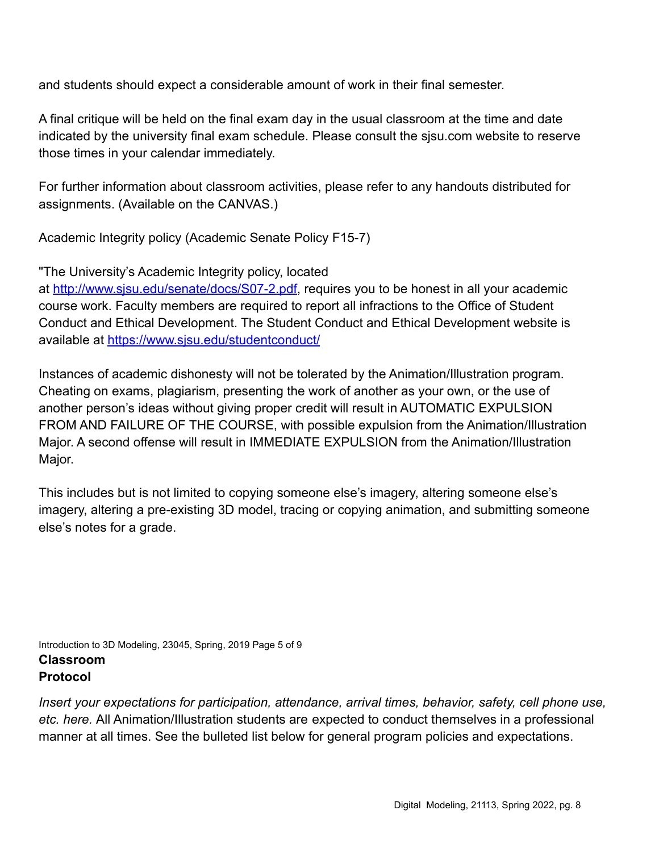and students should expect a considerable amount of work in their final semester.

A final critique will be held on the final exam day in the usual classroom at the time and date indicated by the university final exam schedule. Please consult the sjsu.com website to reserve those times in your calendar immediately.

For further information about classroom activities, please refer to any handouts distributed for assignments. (Available on the CANVAS.)

Academic Integrity policy (Academic Senate Policy F15-7)

"The University's Academic Integrity policy, located

at <http://www.sjsu.edu/senate/docs/S07-2.pdf>, requires you to be honest in all your academic course work. Faculty members are required to report all infractions to the Office of Student Conduct and Ethical Development. The Student Conduct and Ethical Development website is available at <https://www.sjsu.edu/studentconduct/>

Instances of academic dishonesty will not be tolerated by the Animation/Illustration program. Cheating on exams, plagiarism, presenting the work of another as your own, or the use of another person's ideas without giving proper credit will result in AUTOMATIC EXPULSION FROM AND FAILURE OF THE COURSE, with possible expulsion from the Animation/Illustration Major. A second offense will result in IMMEDIATE EXPULSION from the Animation/Illustration Major.

This includes but is not limited to copying someone else's imagery, altering someone else's imagery, altering a pre-existing 3D model, tracing or copying animation, and submitting someone else's notes for a grade.

Introduction to 3D Modeling, 23045, Spring, 2019 Page 5 of 9 **Classroom Protocol**

*Insert your expectations for participation, attendance, arrival times, behavior, safety, cell phone use, etc. here.* All Animation/Illustration students are expected to conduct themselves in a professional manner at all times. See the bulleted list below for general program policies and expectations.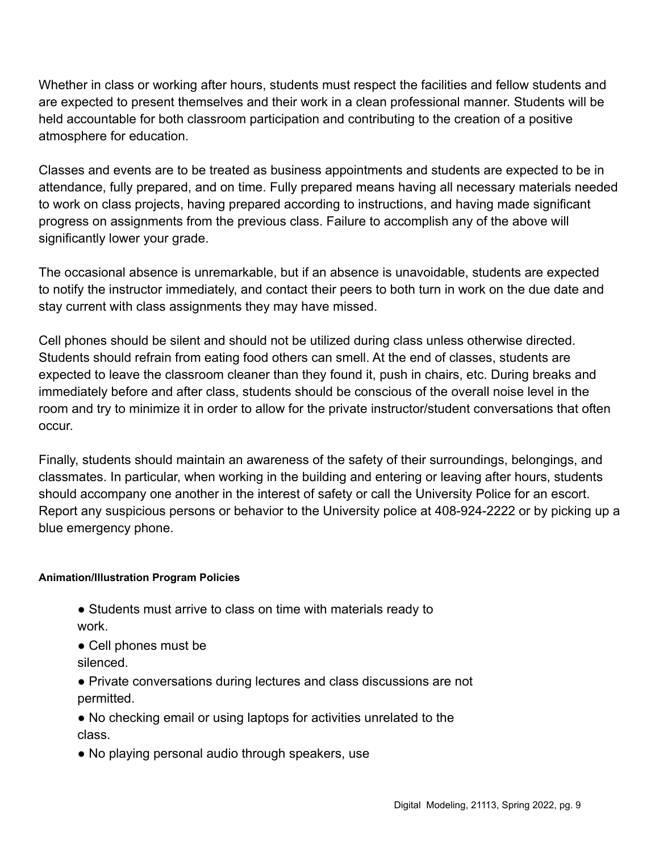Whether in class or working after hours, students must respect the facilities and fellow students and are expected to present themselves and their work in a clean professional manner. Students will be held accountable for both classroom participation and contributing to the creation of a positive atmosphere for education.

Classes and events are to be treated as business appointments and students are expected to be in attendance, fully prepared, and on time. Fully prepared means having all necessary materials needed to work on class projects, having prepared according to instructions, and having made significant progress on assignments from the previous class. Failure to accomplish any of the above will significantly lower your grade.

The occasional absence is unremarkable, but if an absence is unavoidable, students are expected to notify the instructor immediately, and contact their peers to both turn in work on the due date and stay current with class assignments they may have missed.

Cell phones should be silent and should not be utilized during class unless otherwise directed. Students should refrain from eating food others can smell. At the end of classes, students are expected to leave the classroom cleaner than they found it, push in chairs, etc. During breaks and immediately before and after class, students should be conscious of the overall noise level in the room and try to minimize it in order to allow for the private instructor/student conversations that often occur.

Finally, students should maintain an awareness of the safety of their surroundings, belongings, and classmates. In particular, when working in the building and entering or leaving after hours, students should accompany one another in the interest of safety or call the University Police for an escort. Report any suspicious persons or behavior to the University police at 408-924-2222 or by picking up a blue emergency phone.

#### **Animation/Illustration Program Policies**

- Students must arrive to class on time with materials ready to work.
- Cell phones must be silenced.
- Private conversations during lectures and class discussions are not permitted.
- No checking email or using laptops for activities unrelated to the class.
- No playing personal audio through speakers, use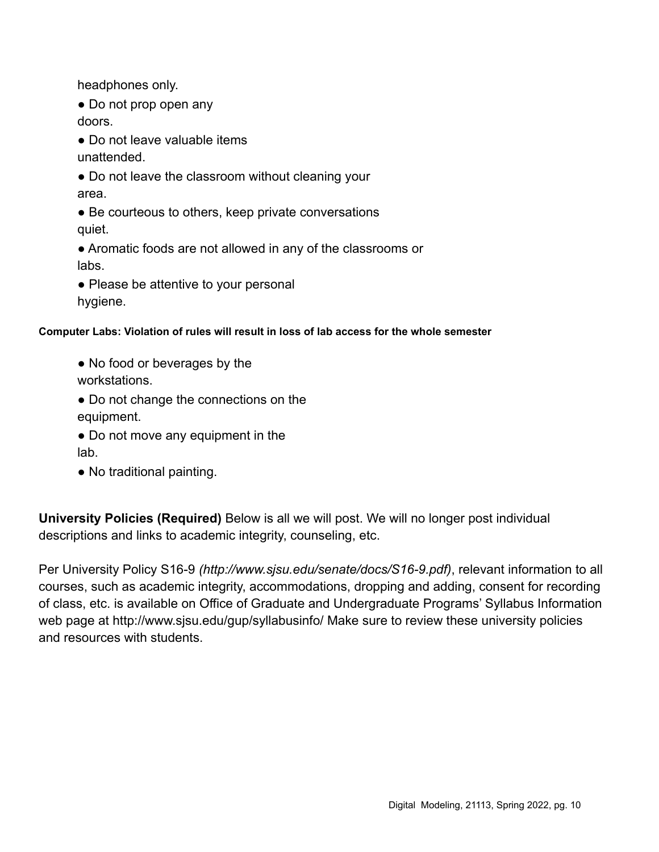headphones only.

• Do not prop open any

doors.

● Do not leave valuable items

unattended.

• Do not leave the classroom without cleaning your area.

• Be courteous to others, keep private conversations quiet.

● Aromatic foods are not allowed in any of the classrooms or labs.

• Please be attentive to your personal hygiene.

#### **Computer Labs: Violation of rules will result in loss of lab access for the whole semester**

- No food or beverages by the workstations.
- Do not change the connections on the equipment.
- Do not move any equipment in the lab.
- No traditional painting.

**University Policies (Required)** Below is all we will post. We will no longer post individual descriptions and links to academic integrity, counseling, etc.

Per University Policy S16-9 *(http://www.sjsu.edu/senate/docs/S16-9.pdf)*, relevant information to all courses, such as academic integrity, accommodations, dropping and adding, consent for recording of class, etc. is available on Office of Graduate and Undergraduate Programs' Syllabus Information web page at http://www.sjsu.edu/gup/syllabusinfo/ Make sure to review these university policies and resources with students.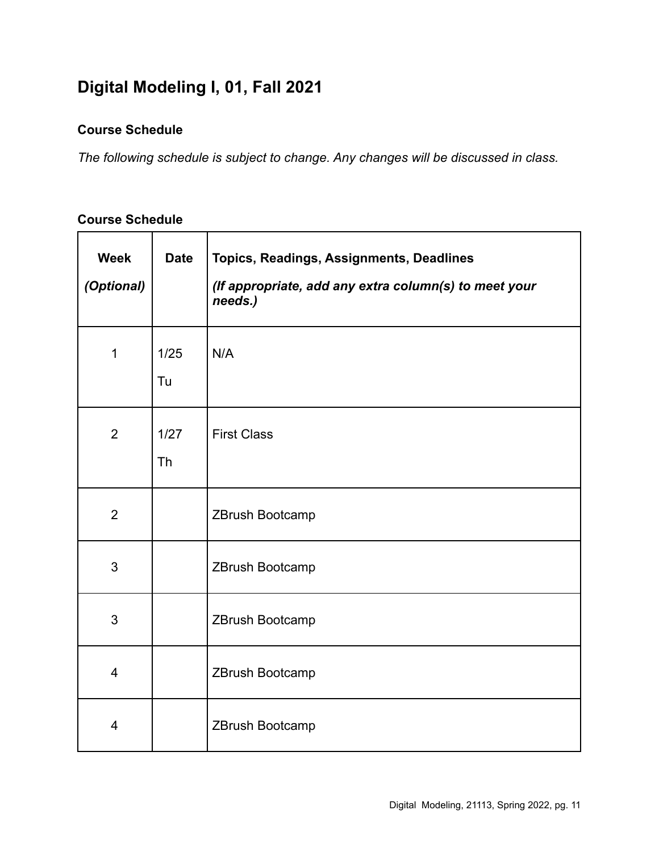# **Digital Modeling I, 01, Fall 2021**

## **Course Schedule**

*The following schedule is subject to change. Any changes will be discussed in class.*

| <b>Week</b><br>(Optional) | <b>Date</b>       | Topics, Readings, Assignments, Deadlines<br>(If appropriate, add any extra column(s) to meet your<br>needs.) |
|---------------------------|-------------------|--------------------------------------------------------------------------------------------------------------|
| $\mathbf{1}$              | 1/25<br>Tu        | N/A                                                                                                          |
| $\overline{2}$            | 1/27<br><b>Th</b> | <b>First Class</b>                                                                                           |
| $\overline{2}$            |                   | ZBrush Bootcamp                                                                                              |
| 3                         |                   | ZBrush Bootcamp                                                                                              |
| 3                         |                   | ZBrush Bootcamp                                                                                              |
| $\overline{4}$            |                   | ZBrush Bootcamp                                                                                              |
| $\overline{4}$            |                   | ZBrush Bootcamp                                                                                              |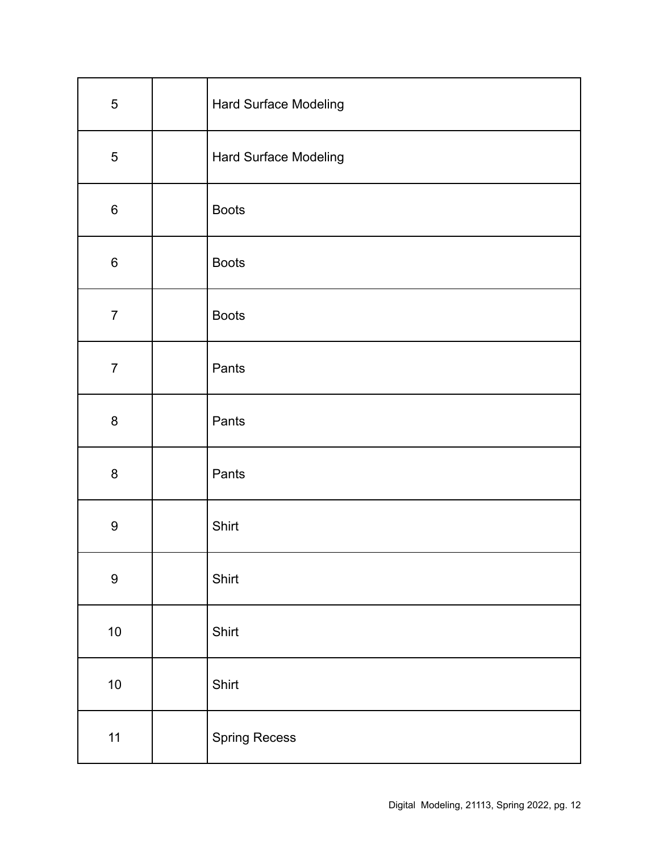| $\sqrt{5}$       | Hard Surface Modeling |
|------------------|-----------------------|
| $\sqrt{5}$       | Hard Surface Modeling |
| $\,6$            | <b>Boots</b>          |
| $\,6$            | <b>Boots</b>          |
| $\overline{7}$   | <b>Boots</b>          |
| $\overline{7}$   | Pants                 |
| $\bf 8$          | Pants                 |
| $\bf 8$          | Pants                 |
| $\boldsymbol{9}$ | Shirt                 |
| $\boldsymbol{9}$ | Shirt                 |
| $10$             | Shirt                 |
| $10\,$           | Shirt                 |
| 11               | <b>Spring Recess</b>  |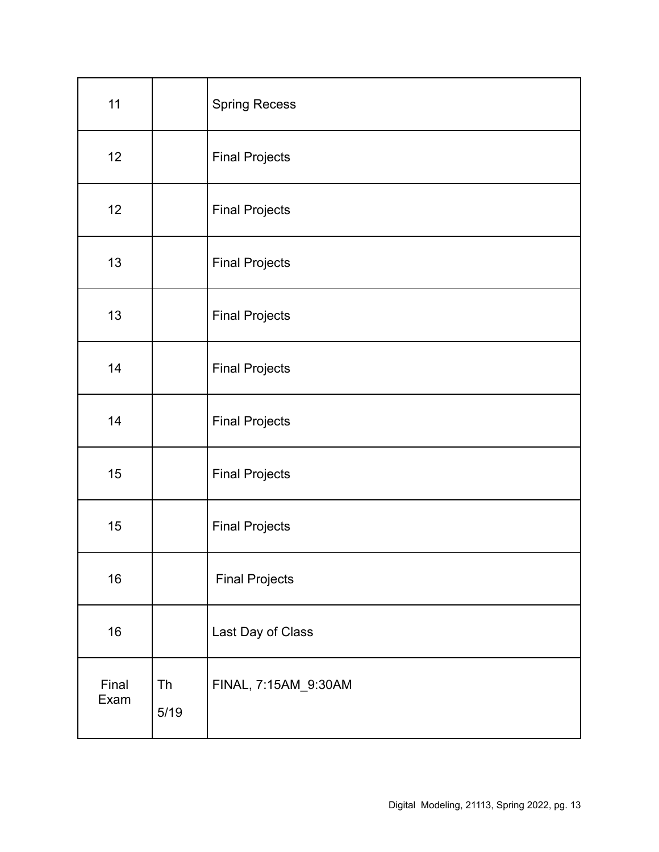| 11            |                   | <b>Spring Recess</b>  |
|---------------|-------------------|-----------------------|
| 12            |                   | <b>Final Projects</b> |
| 12            |                   | <b>Final Projects</b> |
| 13            |                   | <b>Final Projects</b> |
| 13            |                   | <b>Final Projects</b> |
| 14            |                   | <b>Final Projects</b> |
| 14            |                   | <b>Final Projects</b> |
| 15            |                   | <b>Final Projects</b> |
| 15            |                   | <b>Final Projects</b> |
| 16            |                   | <b>Final Projects</b> |
| 16            |                   | Last Day of Class     |
| Final<br>Exam | <b>Th</b><br>5/19 | FINAL, 7:15AM_9:30AM  |